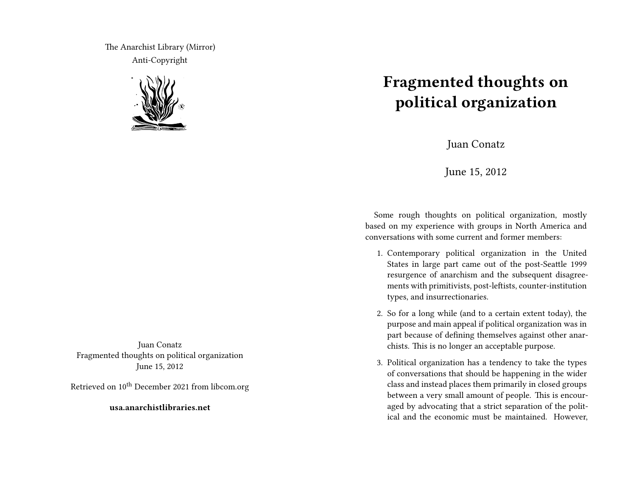The Anarchist Library (Mirror) Anti-Copyright



Juan Conatz Fragmented thoughts on political organization June 15, 2012

Retrieved on  $10^{\text{th}}$  December 2021 from libcom.org

**usa.anarchistlibraries.net**

## **Fragmented thoughts on political organization**

Juan Conatz

June 15, 2012

Some rough thoughts on political organization, mostly based on my experience with groups in North America and conversations with some current and former members:

- 1. Contemporary political organization in the United States in large part came out of the post-Seattle 1999 resurgence of anarchism and the subsequent disagreements with primitivists, post-leftists, counter-institution types, and insurrectionaries.
- 2. So for a long while (and to a certain extent today), the purpose and main appeal if political organization was in part because of defining themselves against other anarchists. This is no longer an acceptable purpose.
- 3. Political organization has a tendency to take the types of conversations that should be happening in the wider class and instead places them primarily in closed groups between a very small amount of people. This is encouraged by advocating that a strict separation of the political and the economic must be maintained. However,